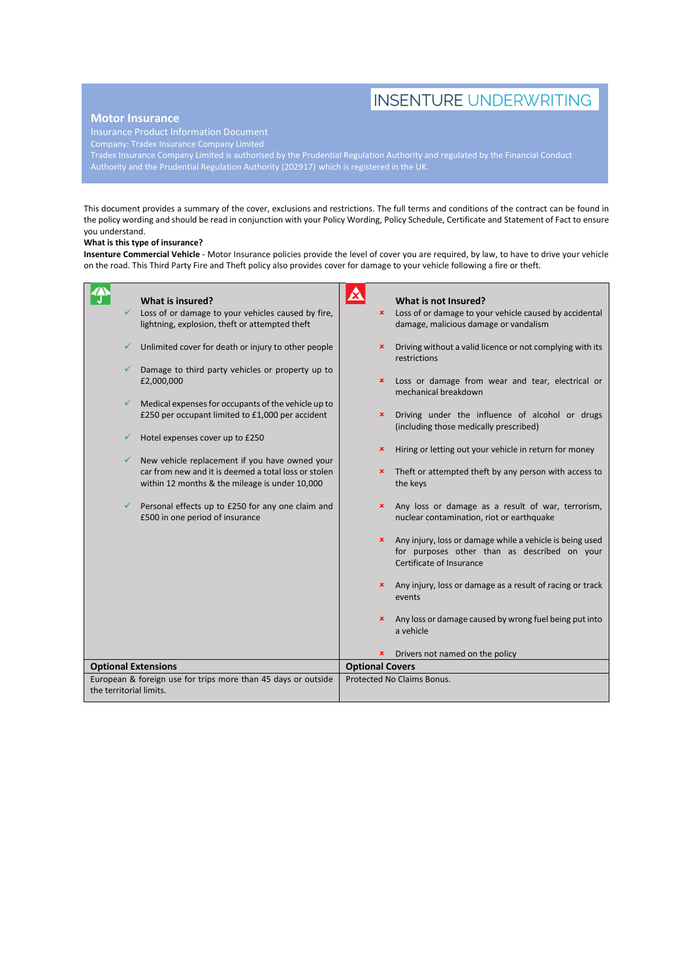# **INSENTURE UNDERWRITING**

### **Motor Insurance**

Company: Tradex Insurance Company Limited

Tradex Insurance Company Limited is authorised by the Prudential Regulation Authority and regulated by the Financial Conduct Authority and the Prudential Regulation Authority (202917) which is registered in the UK.

This document provides a summary of the cover, exclusions and restrictions. The full terms and conditions of the contract can be found in the policy wording and should be read in conjunction with your Policy Wording, Policy Schedule, Certificate and Statement of Fact to ensure you understand.

#### **What is this type of insurance?**

**Insenture Commercial Vehicle** - Motor Insurance policies provide the level of cover you are required, by law, to have to drive your vehicle on the road. This Third Party Fire and Theft policy also provides cover for damage to your vehicle following a fire or theft.

|                                                                                          | What is insured?                                                                                                                                         |                        | What is not Insured?                                                                                                                 |
|------------------------------------------------------------------------------------------|----------------------------------------------------------------------------------------------------------------------------------------------------------|------------------------|--------------------------------------------------------------------------------------------------------------------------------------|
| ✓                                                                                        | Loss of or damage to your vehicles caused by fire,<br>lightning, explosion, theft or attempted theft                                                     | $\pmb{\times}$         | Loss of or damage to your vehicle caused by accidental<br>damage, malicious damage or vandalism                                      |
|                                                                                          | Unlimited cover for death or injury to other people                                                                                                      | ×                      | Driving without a valid licence or not complying with its<br>restrictions                                                            |
|                                                                                          | Damage to third party vehicles or property up to<br>£2,000,000                                                                                           | ×                      | Loss or damage from wear and tear, electrical or<br>mechanical breakdown                                                             |
|                                                                                          | Medical expenses for occupants of the vehicle up to<br>£250 per occupant limited to £1,000 per accident                                                  | ×                      | Driving under the influence of alcohol or drugs<br>(including those medically prescribed)                                            |
|                                                                                          | Hotel expenses cover up to £250                                                                                                                          | ×                      | Hiring or letting out your vehicle in return for money                                                                               |
|                                                                                          | New vehicle replacement if you have owned your<br>car from new and it is deemed a total loss or stolen<br>within 12 months & the mileage is under 10,000 | ×                      | Theft or attempted theft by any person with access to<br>the keys                                                                    |
|                                                                                          | Personal effects up to £250 for any one claim and<br>£500 in one period of insurance                                                                     | ×                      | Any loss or damage as a result of war, terrorism,<br>nuclear contamination, riot or earthquake                                       |
|                                                                                          |                                                                                                                                                          | $\pmb{\times}$         | Any injury, loss or damage while a vehicle is being used<br>for purposes other than as described on your<br>Certificate of Insurance |
|                                                                                          |                                                                                                                                                          |                        | Any injury, loss or damage as a result of racing or track<br>events                                                                  |
|                                                                                          |                                                                                                                                                          |                        | Any loss or damage caused by wrong fuel being put into<br>a vehicle                                                                  |
|                                                                                          |                                                                                                                                                          | ×                      | Drivers not named on the policy                                                                                                      |
| <b>Optional Extensions</b>                                                               |                                                                                                                                                          | <b>Optional Covers</b> |                                                                                                                                      |
| European & foreign use for trips more than 45 days or outside<br>the territorial limits. |                                                                                                                                                          |                        | Protected No Claims Bonus.                                                                                                           |